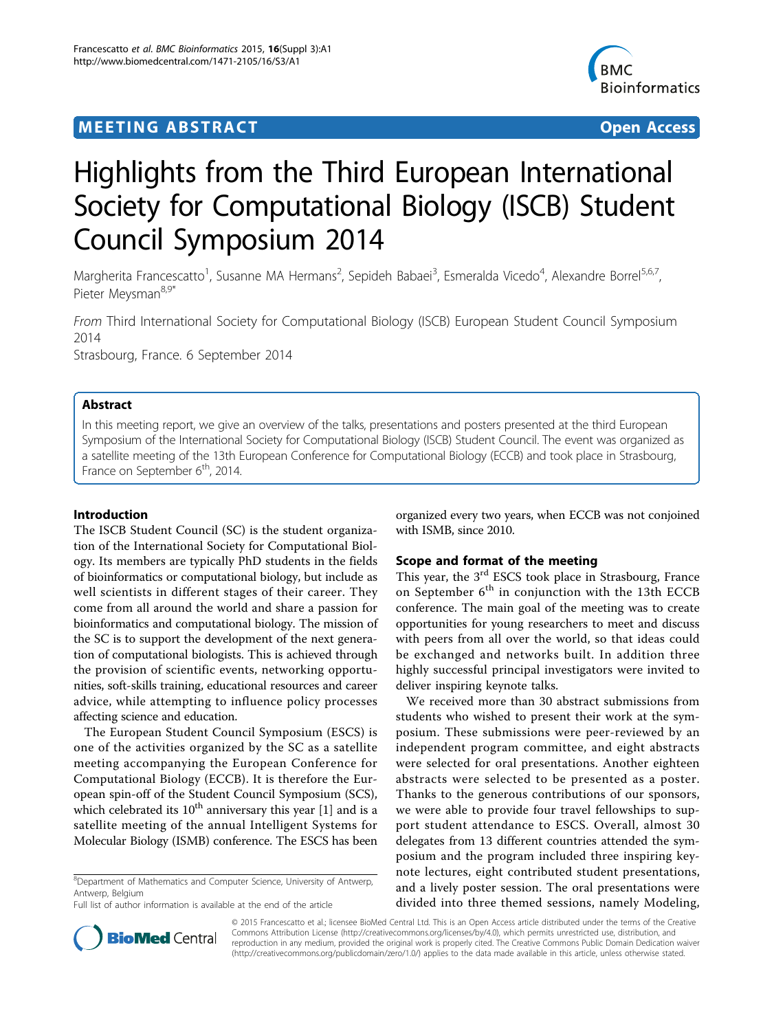# **MEETING ABSTRACT ACCESS**



# Highlights from the Third European International Society for Computational Biology (ISCB) Student Council Symposium 2014

Margherita Francescatto<sup>1</sup>, Susanne MA Hermans<sup>2</sup>, Sepideh Babaei<sup>3</sup>, Esmeralda Vicedo<sup>4</sup>, Alexandre Borrel<sup>5,6,7</sup>, Pieter Meysman<sup>8,9\*</sup>

From Third International Society for Computational Biology (ISCB) European Student Council Symposium 2014 Strasbourg, France. 6 September 2014

# Abstract

In this meeting report, we give an overview of the talks, presentations and posters presented at the third European Symposium of the International Society for Computational Biology (ISCB) Student Council. The event was organized as a satellite meeting of the 13th European Conference for Computational Biology (ECCB) and took place in Strasbourg, France on September  $6<sup>th</sup>$ , 2014.

# Introduction

The ISCB Student Council (SC) is the student organization of the International Society for Computational Biology. Its members are typically PhD students in the fields of bioinformatics or computational biology, but include as well scientists in different stages of their career. They come from all around the world and share a passion for bioinformatics and computational biology. The mission of the SC is to support the development of the next generation of computational biologists. This is achieved through the provision of scientific events, networking opportunities, soft-skills training, educational resources and career advice, while attempting to influence policy processes affecting science and education.

The European Student Council Symposium (ESCS) is one of the activities organized by the SC as a satellite meeting accompanying the European Conference for Computational Biology (ECCB). It is therefore the European spin-off of the Student Council Symposium (SCS), which celebrated its  $10^{th}$  anniversary this year [\[1](#page-2-0)] and is a satellite meeting of the annual Intelligent Systems for Molecular Biology (ISMB) conference. The ESCS has been

<sup>8</sup>Department of Mathematics and Computer Science, University of Antwerp, Antwerp, Belgium

Full list of author information is available at the end of the article

organized every two years, when ECCB was not conjoined with ISMB, since 2010.

# Scope and format of the meeting

This year, the 3<sup>rd</sup> ESCS took place in Strasbourg, France on September  $6<sup>th</sup>$  in conjunction with the 13th ECCB conference. The main goal of the meeting was to create opportunities for young researchers to meet and discuss with peers from all over the world, so that ideas could be exchanged and networks built. In addition three highly successful principal investigators were invited to deliver inspiring keynote talks.

We received more than 30 abstract submissions from students who wished to present their work at the symposium. These submissions were peer-reviewed by an independent program committee, and eight abstracts were selected for oral presentations. Another eighteen abstracts were selected to be presented as a poster. Thanks to the generous contributions of our sponsors, we were able to provide four travel fellowships to support student attendance to ESCS. Overall, almost 30 delegates from 13 different countries attended the symposium and the program included three inspiring keynote lectures, eight contributed student presentations, and a lively poster session. The oral presentations were divided into three themed sessions, namely Modeling,



© 2015 Francescatto et al.; licensee BioMed Central Ltd. This is an Open Access article distributed under the terms of the Creative Commons Attribution License [\(http://creativecommons.org/licenses/by/4.0](http://creativecommons.org/licenses/by/4.0)), which permits unrestricted use, distribution, and reproduction in any medium, provided the original work is properly cited. The Creative Commons Public Domain Dedication waiver [\(http://creativecommons.org/publicdomain/zero/1.0/](http://creativecommons.org/publicdomain/zero/1.0/)) applies to the data made available in this article, unless otherwise stated.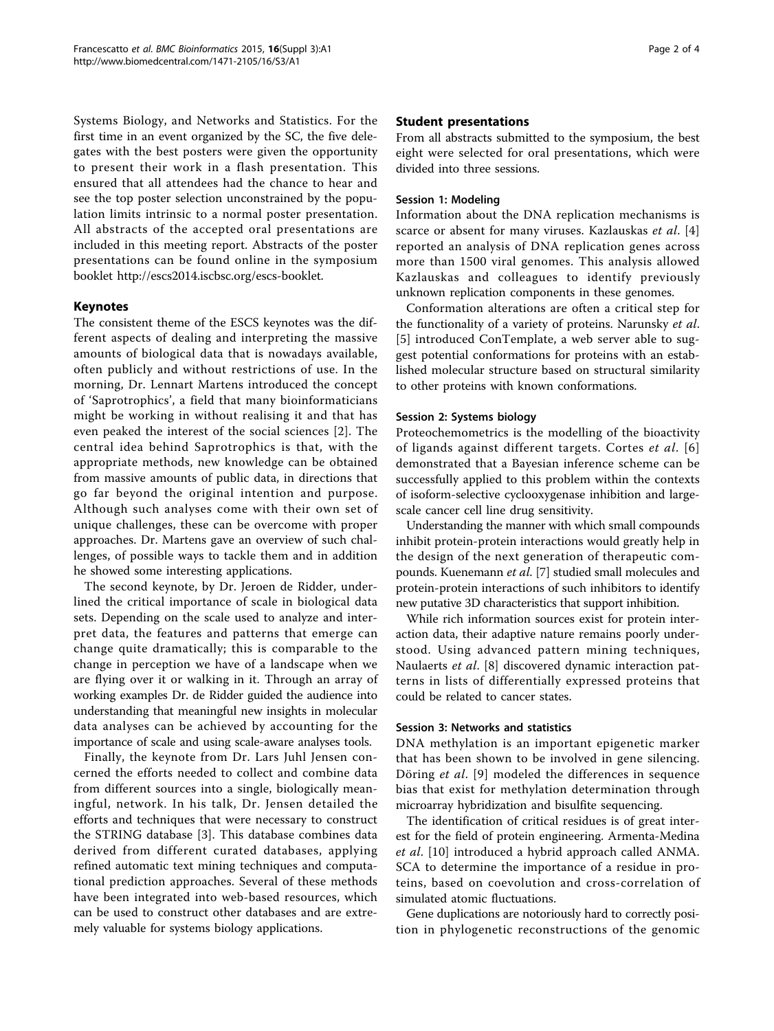Systems Biology, and Networks and Statistics. For the first time in an event organized by the SC, the five delegates with the best posters were given the opportunity to present their work in a flash presentation. This ensured that all attendees had the chance to hear and see the top poster selection unconstrained by the population limits intrinsic to a normal poster presentation. All abstracts of the accepted oral presentations are included in this meeting report. Abstracts of the poster presentations can be found online in the symposium booklet [http://escs2014.iscbsc.org/escs-booklet.](http://escs2014.iscbsc.org/escs-booklet)

# Keynotes

The consistent theme of the ESCS keynotes was the different aspects of dealing and interpreting the massive amounts of biological data that is nowadays available, often publicly and without restrictions of use. In the morning, Dr. Lennart Martens introduced the concept of 'Saprotrophics', a field that many bioinformaticians might be working in without realising it and that has even peaked the interest of the social sciences [[2](#page-2-0)]. The central idea behind Saprotrophics is that, with the appropriate methods, new knowledge can be obtained from massive amounts of public data, in directions that go far beyond the original intention and purpose. Although such analyses come with their own set of unique challenges, these can be overcome with proper approaches. Dr. Martens gave an overview of such challenges, of possible ways to tackle them and in addition he showed some interesting applications.

The second keynote, by Dr. Jeroen de Ridder, underlined the critical importance of scale in biological data sets. Depending on the scale used to analyze and interpret data, the features and patterns that emerge can change quite dramatically; this is comparable to the change in perception we have of a landscape when we are flying over it or walking in it. Through an array of working examples Dr. de Ridder guided the audience into understanding that meaningful new insights in molecular data analyses can be achieved by accounting for the importance of scale and using scale-aware analyses tools.

Finally, the keynote from Dr. Lars Juhl Jensen concerned the efforts needed to collect and combine data from different sources into a single, biologically meaningful, network. In his talk, Dr. Jensen detailed the efforts and techniques that were necessary to construct the STRING database [[3](#page-2-0)]. This database combines data derived from different curated databases, applying refined automatic text mining techniques and computational prediction approaches. Several of these methods have been integrated into web-based resources, which can be used to construct other databases and are extremely valuable for systems biology applications.

### Student presentations

From all abstracts submitted to the symposium, the best eight were selected for oral presentations, which were divided into three sessions.

#### Session 1: Modeling

Information about the DNA replication mechanisms is scarce or absent for many viruses. Kazlauskas et al. [\[4](#page--1-0)] reported an analysis of DNA replication genes across more than 1500 viral genomes. This analysis allowed Kazlauskas and colleagues to identify previously unknown replication components in these genomes.

Conformation alterations are often a critical step for the functionality of a variety of proteins. Narunsky et al. [[5](#page--1-0)] introduced ConTemplate, a web server able to suggest potential conformations for proteins with an established molecular structure based on structural similarity to other proteins with known conformations.

### Session 2: Systems biology

Proteochemometrics is the modelling of the bioactivity of ligands against different targets. Cortes et al. [[6](#page--1-0)] demonstrated that a Bayesian inference scheme can be successfully applied to this problem within the contexts of isoform-selective cyclooxygenase inhibition and largescale cancer cell line drug sensitivity.

Understanding the manner with which small compounds inhibit protein-protein interactions would greatly help in the design of the next generation of therapeutic compounds. Kuenemann et al. [\[7](#page--1-0)] studied small molecules and protein-protein interactions of such inhibitors to identify new putative 3D characteristics that support inhibition.

While rich information sources exist for protein interaction data, their adaptive nature remains poorly understood. Using advanced pattern mining techniques, Naulaerts et al. [[8\]](#page--1-0) discovered dynamic interaction patterns in lists of differentially expressed proteins that could be related to cancer states.

### Session 3: Networks and statistics

DNA methylation is an important epigenetic marker that has been shown to be involved in gene silencing. Döring et al. [[9\]](#page--1-0) modeled the differences in sequence bias that exist for methylation determination through microarray hybridization and bisulfite sequencing.

The identification of critical residues is of great interest for the field of protein engineering. Armenta-Medina et al. [[10\]](#page--1-0) introduced a hybrid approach called ANMA. SCA to determine the importance of a residue in proteins, based on coevolution and cross-correlation of simulated atomic fluctuations.

Gene duplications are notoriously hard to correctly position in phylogenetic reconstructions of the genomic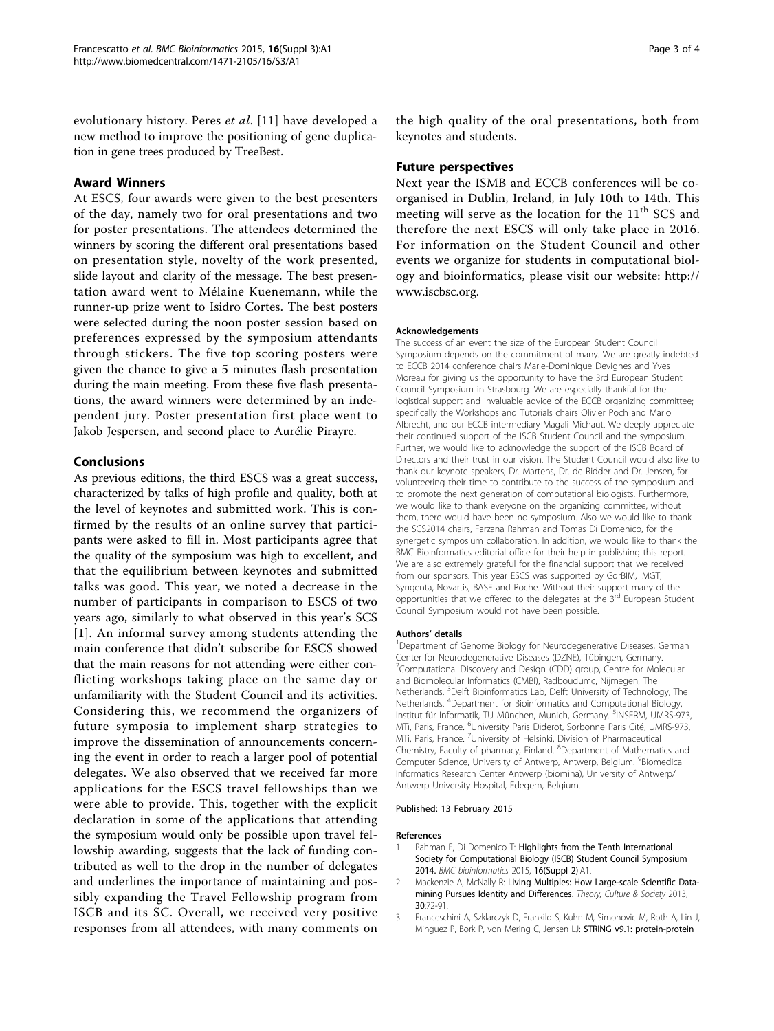<span id="page-2-0"></span>evolutionary history. Peres et al. [\[11](#page--1-0)] have developed a new method to improve the positioning of gene duplication in gene trees produced by TreeBest.

# Award Winners

At ESCS, four awards were given to the best presenters of the day, namely two for oral presentations and two for poster presentations. The attendees determined the winners by scoring the different oral presentations based on presentation style, novelty of the work presented, slide layout and clarity of the message. The best presentation award went to Mélaine Kuenemann, while the runner-up prize went to Isidro Cortes. The best posters were selected during the noon poster session based on preferences expressed by the symposium attendants through stickers. The five top scoring posters were given the chance to give a 5 minutes flash presentation during the main meeting. From these five flash presentations, the award winners were determined by an independent jury. Poster presentation first place went to Jakob Jespersen, and second place to Aurélie Pirayre.

# Conclusions

As previous editions, the third ESCS was a great success, characterized by talks of high profile and quality, both at the level of keynotes and submitted work. This is confirmed by the results of an online survey that participants were asked to fill in. Most participants agree that the quality of the symposium was high to excellent, and that the equilibrium between keynotes and submitted talks was good. This year, we noted a decrease in the number of participants in comparison to ESCS of two years ago, similarly to what observed in this year's SCS [1]. An informal survey among students attending the main conference that didn't subscribe for ESCS showed that the main reasons for not attending were either conflicting workshops taking place on the same day or unfamiliarity with the Student Council and its activities. Considering this, we recommend the organizers of future symposia to implement sharp strategies to improve the dissemination of announcements concerning the event in order to reach a larger pool of potential delegates. We also observed that we received far more applications for the ESCS travel fellowships than we were able to provide. This, together with the explicit declaration in some of the applications that attending the symposium would only be possible upon travel fellowship awarding, suggests that the lack of funding contributed as well to the drop in the number of delegates and underlines the importance of maintaining and possibly expanding the Travel Fellowship program from ISCB and its SC. Overall, we received very positive responses from all attendees, with many comments on

the high quality of the oral presentations, both from keynotes and students.

# Future perspectives

Next year the ISMB and ECCB conferences will be coorganised in Dublin, Ireland, in July 10th to 14th. This meeting will serve as the location for the  $11<sup>th</sup>$  SCS and therefore the next ESCS will only take place in 2016. For information on the Student Council and other events we organize for students in computational biology and bioinformatics, please visit our website: [http://](http://www.iscbsc.org) [www.iscbsc.org.](http://www.iscbsc.org)

#### Acknowledgements

The success of an event the size of the European Student Council Symposium depends on the commitment of many. We are greatly indebted to ECCB 2014 conference chairs Marie-Dominique Devignes and Yves Moreau for giving us the opportunity to have the 3rd European Student Council Symposium in Strasbourg. We are especially thankful for the logistical support and invaluable advice of the ECCB organizing committee; specifically the Workshops and Tutorials chairs Olivier Poch and Mario Albrecht, and our ECCB intermediary Magali Michaut. We deeply appreciate their continued support of the ISCB Student Council and the symposium. Further, we would like to acknowledge the support of the ISCB Board of Directors and their trust in our vision. The Student Council would also like to thank our keynote speakers; Dr. Martens, Dr. de Ridder and Dr. Jensen, for volunteering their time to contribute to the success of the symposium and to promote the next generation of computational biologists. Furthermore, we would like to thank everyone on the organizing committee, without them, there would have been no symposium. Also we would like to thank the SCS2014 chairs, Farzana Rahman and Tomas Di Domenico, for the synergetic symposium collaboration. In addition, we would like to thank the BMC Bioinformatics editorial office for their help in publishing this report. We are also extremely grateful for the financial support that we received from our sponsors. This year ESCS was supported by GdrBIM, IMGT, Syngenta, Novartis, BASF and Roche. Without their support many of the opportunities that we offered to the delegates at the 3rd European Student Council Symposium would not have been possible.

#### Authors' details <sup>1</sup>

Department of Genome Biology for Neurodegenerative Diseases, German Center for Neurodegenerative Diseases (DZNE), Tübingen, Germany. <sup>2</sup>Computational Discovery and Design (CDD) group, Centre for Molecular and Biomolecular Informatics (CMBI), Radboudumc, Nijmegen, The Netherlands. <sup>3</sup>Delft Bioinformatics Lab, Delft University of Technology, The Netherlands. <sup>4</sup> Department for Bioinformatics and Computational Biology, Institut für Informatik, TU München, Munich, Germany. <sup>5</sup>INSERM, UMRS-973 MTi, Paris, France. <sup>6</sup>University Paris Diderot, Sorbonne Paris Cité, UMRS-973 MTi, Paris, France. <sup>7</sup>University of Helsinki, Division of Pharmaceutical Chemistry, Faculty of pharmacy, Finland. <sup>8</sup>Department of Mathematics and Computer Science, University of Antwerp, Antwerp, Belgium. <sup>9</sup>Biomedical Informatics Research Center Antwerp (biomina), University of Antwerp/ Antwerp University Hospital, Edegem, Belgium.

#### Published: 13 February 2015

#### References

- Rahman F, Di Domenico T: Highlights from the Tenth International Society for Computational Biology (ISCB) Student Council Symposium 2014. BMC bioinformatics 2015, 16(Suppl 2):A1.
- Mackenzie A, McNally R: Living Multiples: How Large-scale Scientific Datamining Pursues Identity and Differences. Theory, Culture & Society 2013, 30:72-91.
- 3. Franceschini A, Szklarczyk D, Frankild S, Kuhn M, Simonovic M, Roth A, Lin J, Minguez P, Bork P, von Mering C, Jensen LJ: STRING v9.1: protein-protein